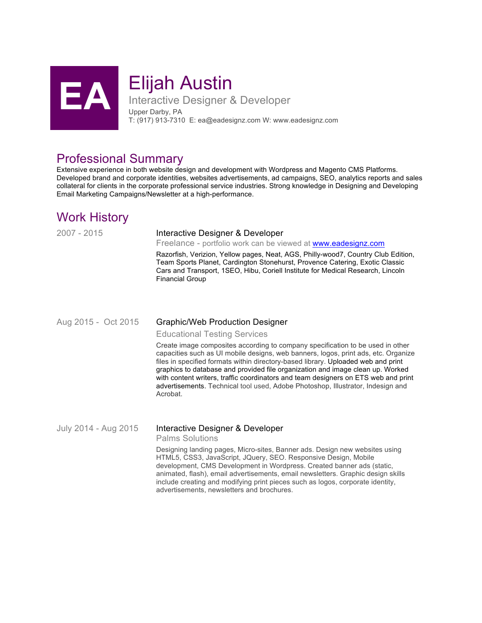

# **Elijah Austin**<br>Interactive Designer &

Interactive Designer & Developer Upper Darby, PA T: (917) 913-7310 E: ea@eadesignz.com W: www.eadesignz.com

## Professional Summary

Extensive experience in both website design and development with Wordpress and Magento CMS Platforms. Developed brand and corporate identities, websites advertisements, ad campaigns, SEO, analytics reports and sales collateral for clients in the corporate professional service industries. Strong knowledge in Designing and Developing Email Marketing Campaigns/Newsletter at a high-performance.

# Work History

#### 2007 - 2015 Interactive Designer & Developer

Freelance - portfolio work can be viewed at www.eadesignz.com

Razorfish, Verizion, Yellow pages, Neat, AGS, Philly-wood7, Country Club Edition, Team Sports Planet, Cardington Stonehurst, Provence Catering, Exotic Classic Cars and Transport, 1SEO, Hibu, Coriell Institute for Medical Research, Lincoln Financial Group

### Aug 2015 - Oct 2015 Graphic/Web Production Designer

Educational Testing Services

Create image composites according to company specification to be used in other capacities such as UI mobile designs, web banners, logos, print ads, etc. Organize files in specified formats within directory-based library. Uploaded web and print graphics to database and provided file organization and image clean up. Worked with content writers, traffic coordinators and team designers on ETS web and print advertisements. Technical tool used, Adobe Photoshop, Illustrator, Indesign and Acrobat.

## July 2014 - Aug 2015 Interactive Designer & Developer

Palms Solutions

Designing landing pages, Micro-sites, Banner ads. Design new websites using HTML5, CSS3, JavaScript, JQuery, SEO. Responsive Design, Mobile development, CMS Development in Wordpress. Created banner ads (static, animated, flash), email advertisements, email newsletters. Graphic design skills include creating and modifying print pieces such as logos, corporate identity, advertisements, newsletters and brochures.